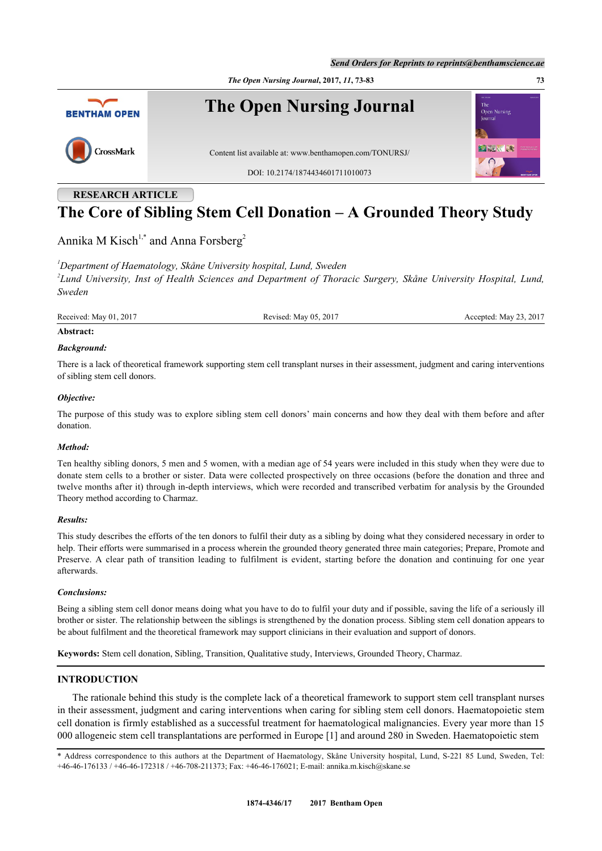



# **RESEARCH ARTICLE The Core of Sibling Stem Cell Donation – A Grounded Theory Study**

Annika M Kisch<sup>[1,](#page-0-0)[\\*](#page-0-1)</sup> and Anna Forsberg<sup>[2](#page-0-2)</sup>

<span id="page-0-2"></span><span id="page-0-0"></span>*<sup>1</sup>Department of Haematology, Skåne University hospital, Lund, Sweden 2 Lund University, Inst of Health Sciences and Department of Thoracic Surgery, Skåne University Hospital, Lund, Sweden*

Received: May 01, 2017 Revised: May 05, 2017 Received: May 23, 2017

#### **Abstract:**

#### *Background:*

There is a lack of theoretical framework supporting stem cell transplant nurses in their assessment, judgment and caring interventions of sibling stem cell donors.

#### *Objective:*

The purpose of this study was to explore sibling stem cell donors' main concerns and how they deal with them before and after donation.

#### *Method:*

Ten healthy sibling donors, 5 men and 5 women, with a median age of 54 years were included in this study when they were due to donate stem cells to a brother or sister. Data were collected prospectively on three occasions (before the donation and three and twelve months after it) through in-depth interviews, which were recorded and transcribed verbatim for analysis by the Grounded Theory method according to Charmaz.

#### *Results:*

This study describes the efforts of the ten donors to fulfil their duty as a sibling by doing what they considered necessary in order to help. Their efforts were summarised in a process wherein the grounded theory generated three main categories; Prepare, Promote and Preserve. A clear path of transition leading to fulfilment is evident, starting before the donation and continuing for one year afterwards.

#### *Conclusions:*

Being a sibling stem cell donor means doing what you have to do to fulfil your duty and if possible, saving the life of a seriously ill brother or sister. The relationship between the siblings is strengthened by the donation process. Sibling stem cell donation appears to be about fulfilment and the theoretical framework may support clinicians in their evaluation and support of donors.

**Keywords:** Stem cell donation, Sibling, Transition, Qualitative study, Interviews, Grounded Theory, Charmaz.

# **INTRODUCTION**

The rationale behind this study is the complete lack of a theoretical framework to support stem cell transplant nurses in their assessment, judgment and caring interventions when caring for sibling stem cell donors. Haematopoietic stem cell donation is firmly established as a successful treatment for haematological malignancies. Every year more than 15 000 allogeneic stem cell transplantations are performed in Europe [[1\]](#page-8-0) and around 280 in Sweden. Haematopoietic stem

<span id="page-0-1"></span>\* Address correspondence to this authors at the Department of Haematology, Skåne University hospital, Lund, S-221 85 Lund, Sweden, Tel: +46-46-176133 / +46-46-172318 / +46-708-211373; Fax: +46-46-176021; E-mail: [annika.m.kisch@skane.se](mailto:annika.m.kisch@skane.se)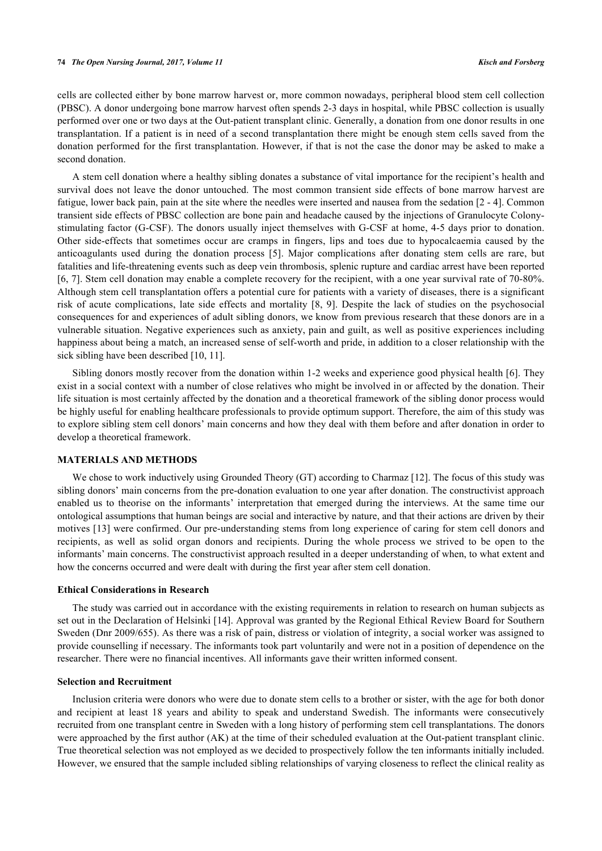cells are collected either by bone marrow harvest or, more common nowadays, peripheral blood stem cell collection (PBSC). A donor undergoing bone marrow harvest often spends 2-3 days in hospital, while PBSC collection is usually performed over one or two days at the Out-patient transplant clinic. Generally, a donation from one donor results in one transplantation. If a patient is in need of a second transplantation there might be enough stem cells saved from the donation performed for the first transplantation. However, if that is not the case the donor may be asked to make a second donation.

A stem cell donation where a healthy sibling donates a substance of vital importance for the recipient's health and survival does not leave the donor untouched. The most common transient side effects of bone marrow harvest are fatigue, lower back pain, pain at the site where the needles were inserted and nausea from the sedation [\[2](#page-9-0) - [4\]](#page-9-1). Common transient side effects of PBSC collection are bone pain and headache caused by the injections of Granulocyte Colonystimulating factor (G-CSF). The donors usually inject themselves with G-CSF at home, 4-5 days prior to donation. Other side-effects that sometimes occur are cramps in fingers, lips and toes due to hypocalcaemia caused by the anticoagulants used during the donation process[[5\]](#page-9-2). Major complications after donating stem cells are rare, but fatalities and life-threatening events such as deep vein thrombosis, splenic rupture and cardiac arrest have been reported [\[6](#page-9-3), [7\]](#page-9-4). Stem cell donation may enable a complete recovery for the recipient, with a one year survival rate of 70-80%. Although stem cell transplantation offers a potential cure for patients with a variety of diseases, there is a significant risk of acute complications, late side effects and mortality[[8,](#page-9-5) [9](#page-9-6)]. Despite the lack of studies on the psychosocial consequences for and experiences of adult sibling donors, we know from previous research that these donors are in a vulnerable situation. Negative experiences such as anxiety, pain and guilt, as well as positive experiences including happiness about being a match, an increased sense of self-worth and pride, in addition to a closer relationship with the sick sibling have been described [[10,](#page-9-7) [11\]](#page-9-8).

Sibling donors mostly recover from the donation within 1-2 weeks and experience good physical health [[6\]](#page-9-3). They exist in a social context with a number of close relatives who might be involved in or affected by the donation. Their life situation is most certainly affected by the donation and a theoretical framework of the sibling donor process would be highly useful for enabling healthcare professionals to provide optimum support. Therefore, the aim of this study was to explore sibling stem cell donors' main concerns and how they deal with them before and after donation in order to develop a theoretical framework.

# **MATERIALS AND METHODS**

We chose to work inductively using Grounded Theory (GT) according to Charmaz [[12](#page-9-9)]. The focus of this study was sibling donors' main concerns from the pre-donation evaluation to one year after donation. The constructivist approach enabled us to theorise on the informants' interpretation that emerged during the interviews. At the same time our ontological assumptions that human beings are social and interactive by nature, and that their actions are driven by their motives [[13\]](#page-9-10) were confirmed. Our pre-understanding stems from long experience of caring for stem cell donors and recipients, as well as solid organ donors and recipients. During the whole process we strived to be open to the informants' main concerns. The constructivist approach resulted in a deeper understanding of when, to what extent and how the concerns occurred and were dealt with during the first year after stem cell donation.

#### **Ethical Considerations in Research**

The study was carried out in accordance with the existing requirements in relation to research on human subjects as set out in the Declaration of Helsinki [[14\]](#page-9-11). Approval was granted by the Regional Ethical Review Board for Southern Sweden (Dnr 2009/655). As there was a risk of pain, distress or violation of integrity, a social worker was assigned to provide counselling if necessary. The informants took part voluntarily and were not in a position of dependence on the researcher. There were no financial incentives. All informants gave their written informed consent.

### **Selection and Recruitment**

Inclusion criteria were donors who were due to donate stem cells to a brother or sister, with the age for both donor and recipient at least 18 years and ability to speak and understand Swedish. The informants were consecutively recruited from one transplant centre in Sweden with a long history of performing stem cell transplantations. The donors were approached by the first author (AK) at the time of their scheduled evaluation at the Out-patient transplant clinic. True theoretical selection was not employed as we decided to prospectively follow the ten informants initially included. However, we ensured that the sample included sibling relationships of varying closeness to reflect the clinical reality as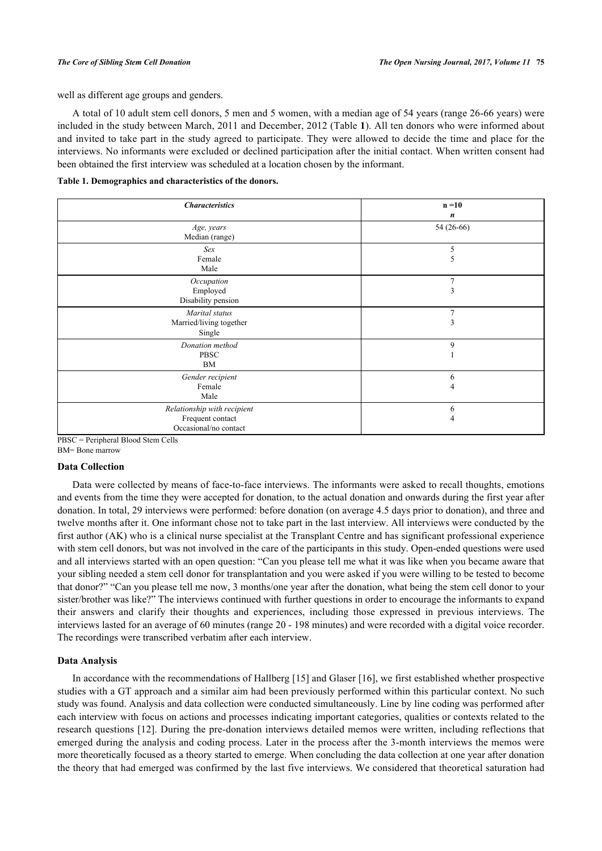well as different age groups and genders.

A total of 10 adult stem cell donors, 5 men and 5 women, with a median age of 54 years (range 26-66 years) were included in the study between March, 2011 and December, 2012 (Table **[1](#page-2-0)**). All ten donors who were informed about and invited to take part in the study agreed to participate. They were allowed to decide the time and place for the interviews. No informants were excluded or declined participation after the initial contact. When written consent had been obtained the first interview was scheduled at a location chosen by the informant.

<span id="page-2-0"></span>**Table 1. Demographics and characteristics of the donors.**

| <b>Characteristics</b>                                                   | $n = 10$            |
|--------------------------------------------------------------------------|---------------------|
|                                                                          | n                   |
| Age, years<br>Median (range)                                             | 54 (26-66)          |
| Sex<br>Female<br>Male                                                    | 5<br>5              |
| Occupation<br>Employed<br>Disability pension                             | $\overline{7}$<br>3 |
| Marital status<br>Married/living together<br>Single                      | $\overline{7}$<br>3 |
| Donation method<br><b>PBSC</b><br>BM                                     | 9                   |
| Gender recipient<br>Female<br>Male                                       | 6<br>4              |
| Relationship with recipient<br>Frequent contact<br>Occasional/no contact | 6<br>4              |

PBSC = Peripheral Blood Stem Cells

BM= Bone marrow

#### **Data Collection**

Data were collected by means of face-to-face interviews. The informants were asked to recall thoughts, emotions and events from the time they were accepted for donation, to the actual donation and onwards during the first year after donation. In total, 29 interviews were performed: before donation (on average 4.5 days prior to donation), and three and twelve months after it. One informant chose not to take part in the last interview. All interviews were conducted by the first author (AK) who is a clinical nurse specialist at the Transplant Centre and has significant professional experience with stem cell donors, but was not involved in the care of the participants in this study. Open-ended questions were used and all interviews started with an open question: "Can you please tell me what it was like when you became aware that your sibling needed a stem cell donor for transplantation and you were asked if you were willing to be tested to become that donor?" "Can you please tell me now, 3 months/one year after the donation, what being the stem cell donor to your sister/brother was like?" The interviews continued with further questions in order to encourage the informants to expand their answers and clarify their thoughts and experiences, including those expressed in previous interviews. The interviews lasted for an average of 60 minutes (range 20 - 198 minutes) and were recorded with a digital voice recorder. The recordings were transcribed verbatim after each interview.

#### **Data Analysis**

In accordance with the recommendations of Hallberg [\[15\]](#page-9-12) and Glaser [[16](#page-9-13)], we first established whether prospective studies with a GT approach and a similar aim had been previously performed within this particular context. No such study was found. Analysis and data collection were conducted simultaneously. Line by line coding was performed after each interview with focus on actions and processes indicating important categories, qualities or contexts related to the research questions [\[12\]](#page-9-9). During the pre-donation interviews detailed memos were written, including reflections that emerged during the analysis and coding process. Later in the process after the 3-month interviews the memos were more theoretically focused as a theory started to emerge. When concluding the data collection at one year after donation the theory that had emerged was confirmed by the last five interviews. We considered that theoretical saturation had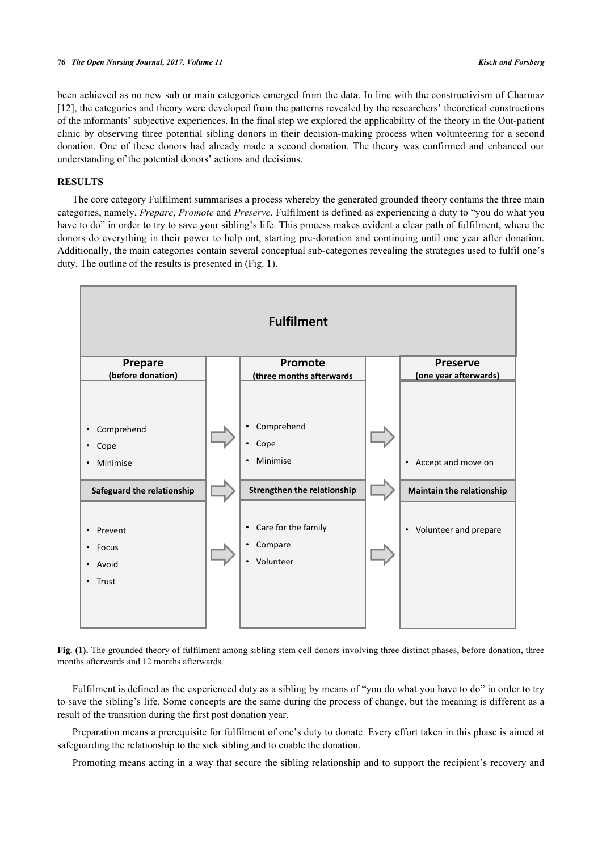been achieved as no new sub or main categories emerged from the data. In line with the constructivism of Charmaz [\[12](#page-9-9)], the categories and theory were developed from the patterns revealed by the researchers' theoretical constructions of the informants' subjective experiences. In the final step we explored the applicability of the theory in the Out-patient clinic by observing three potential sibling donors in their decision-making process when volunteering for a second donation. One of these donors had already made a second donation. The theory was confirmed and enhanced our understanding of the potential donors' actions and decisions.

# **RESULTS**

The core category Fulfilment summarises a process whereby the generated grounded theory contains the three main categories, namely, *Prepare*, *Promote* and *Preserve*. Fulfilment is defined as experiencing a duty to "you do what you have to do" in order to try to save your sibling's life. This process makes evident a clear path of fulfilment, where the donors do everything in their power to help out, starting pre-donation and continuing until one year after donation. Additionally, the main categories contain several conceptual sub-categories revealing the strategies used to fulfil one's duty. The outline of the results is presented in (Fig. **[1](#page-3-0)**).

<span id="page-3-0"></span>

Fig. (1). The grounded theory of fulfilment among sibling stem cell donors involving three distinct phases, before donation, three months afterwards and 12 months afterwards.

Fulfilment is defined as the experienced duty as a sibling by means of "you do what you have to do" in order to try to save the sibling's life. Some concepts are the same during the process of change, but the meaning is different as a result of the transition during the first post donation year.

Preparation means a prerequisite for fulfilment of one's duty to donate. Every effort taken in this phase is aimed at safeguarding the relationship to the sick sibling and to enable the donation.

Promoting means acting in a way that secure the sibling relationship and to support the recipient's recovery and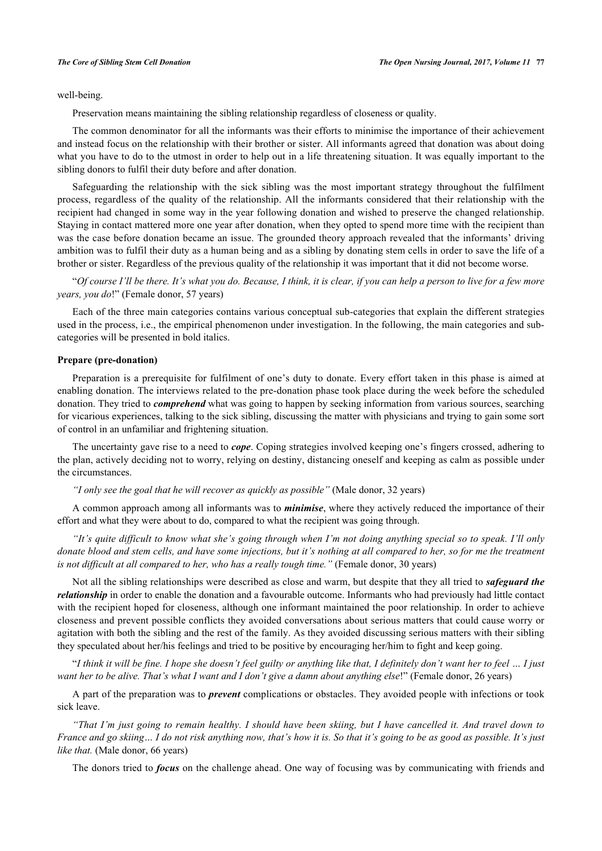well-being.

Preservation means maintaining the sibling relationship regardless of closeness or quality.

The common denominator for all the informants was their efforts to minimise the importance of their achievement and instead focus on the relationship with their brother or sister. All informants agreed that donation was about doing what you have to do to the utmost in order to help out in a life threatening situation. It was equally important to the sibling donors to fulfil their duty before and after donation.

Safeguarding the relationship with the sick sibling was the most important strategy throughout the fulfilment process, regardless of the quality of the relationship. All the informants considered that their relationship with the recipient had changed in some way in the year following donation and wished to preserve the changed relationship. Staying in contact mattered more one year after donation, when they opted to spend more time with the recipient than was the case before donation became an issue. The grounded theory approach revealed that the informants' driving ambition was to fulfil their duty as a human being and as a sibling by donating stem cells in order to save the life of a brother or sister. Regardless of the previous quality of the relationship it was important that it did not become worse.

"*Of course I'll be there. It's what you do. Because, I think, it is clear, if you can help a person to live for a few more years, you do*!" (Female donor, 57 years)

Each of the three main categories contains various conceptual sub-categories that explain the different strategies used in the process, i.e., the empirical phenomenon under investigation. In the following, the main categories and subcategories will be presented in bold italics.

#### **Prepare (pre-donation)**

Preparation is a prerequisite for fulfilment of one's duty to donate. Every effort taken in this phase is aimed at enabling donation. The interviews related to the pre-donation phase took place during the week before the scheduled donation. They tried to *comprehend* what was going to happen by seeking information from various sources, searching for vicarious experiences, talking to the sick sibling, discussing the matter with physicians and trying to gain some sort of control in an unfamiliar and frightening situation.

The uncertainty gave rise to a need to *cope*. Coping strategies involved keeping one's fingers crossed, adhering to the plan, actively deciding not to worry, relying on destiny, distancing oneself and keeping as calm as possible under the circumstances.

*"I only see the goal that he will recover as quickly as possible"* (Male donor, 32 years)

A common approach among all informants was to *minimise*, where they actively reduced the importance of their effort and what they were about to do, compared to what the recipient was going through.

*"It's quite difficult to know what she's going through when I'm not doing anything special so to speak. I'll only donate blood and stem cells, and have some injections, but it's nothing at all compared to her, so for me the treatment is not difficult at all compared to her, who has a really tough time."* (Female donor, 30 years)

Not all the sibling relationships were described as close and warm, but despite that they all tried to *safeguard the relationship* in order to enable the donation and a favourable outcome. Informants who had previously had little contact with the recipient hoped for closeness, although one informant maintained the poor relationship. In order to achieve closeness and prevent possible conflicts they avoided conversations about serious matters that could cause worry or agitation with both the sibling and the rest of the family. As they avoided discussing serious matters with their sibling they speculated about her/his feelings and tried to be positive by encouraging her/him to fight and keep going.

"*I think it will be fine. I hope she doesn't feel guilty or anything like that, I definitely don't want her to feel … I just want her to be alive. That's what I want and I don't give a damn about anything else*!" (Female donor, 26 years)

A part of the preparation was to *prevent* complications or obstacles. They avoided people with infections or took sick leave.

*"That I'm just going to remain healthy. I should have been skiing, but I have cancelled it. And travel down to France and go skiing… I do not risk anything now, that's how it is. So that it's going to be as good as possible. It's just like that.* (Male donor, 66 years)

The donors tried to *focus* on the challenge ahead. One way of focusing was by communicating with friends and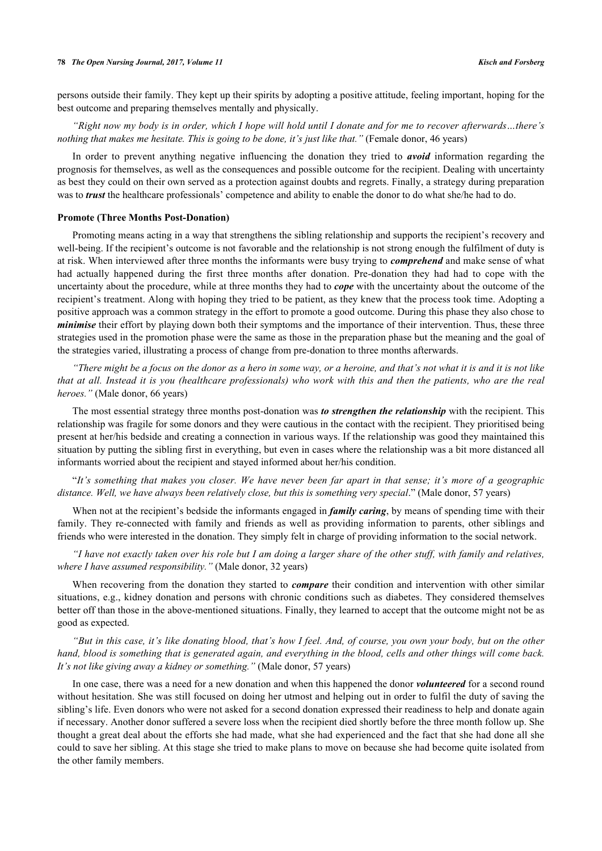persons outside their family. They kept up their spirits by adopting a positive attitude, feeling important, hoping for the best outcome and preparing themselves mentally and physically.

*"Right now my body is in order, which I hope will hold until I donate and for me to recover afterwards…there's nothing that makes me hesitate. This is going to be done, it's just like that."* (Female donor, 46 years)

In order to prevent anything negative influencing the donation they tried to *avoid* information regarding the prognosis for themselves, as well as the consequences and possible outcome for the recipient. Dealing with uncertainty as best they could on their own served as a protection against doubts and regrets. Finally, a strategy during preparation was to *trust* the healthcare professionals' competence and ability to enable the donor to do what she/he had to do.

#### **Promote (Three Months Post-Donation)**

Promoting means acting in a way that strengthens the sibling relationship and supports the recipient's recovery and well-being. If the recipient's outcome is not favorable and the relationship is not strong enough the fulfilment of duty is at risk. When interviewed after three months the informants were busy trying to *comprehend* and make sense of what had actually happened during the first three months after donation. Pre-donation they had had to cope with the uncertainty about the procedure, while at three months they had to *cope* with the uncertainty about the outcome of the recipient's treatment. Along with hoping they tried to be patient, as they knew that the process took time. Adopting a positive approach was a common strategy in the effort to promote a good outcome. During this phase they also chose to *minimise* their effort by playing down both their symptoms and the importance of their intervention. Thus, these three strategies used in the promotion phase were the same as those in the preparation phase but the meaning and the goal of the strategies varied, illustrating a process of change from pre-donation to three months afterwards.

*"There might be a focus on the donor as a hero in some way, or a heroine, and that's not what it is and it is not like that at all. Instead it is you (healthcare professionals) who work with this and then the patients, who are the real heroes."* (Male donor, 66 years)

The most essential strategy three months post-donation was *to strengthen the relationship* with the recipient. This relationship was fragile for some donors and they were cautious in the contact with the recipient. They prioritised being present at her/his bedside and creating a connection in various ways. If the relationship was good they maintained this situation by putting the sibling first in everything, but even in cases where the relationship was a bit more distanced all informants worried about the recipient and stayed informed about her/his condition.

"*It's something that makes you closer. We have never been far apart in that sense; it's more of a geographic distance. Well, we have always been relatively close, but this is something very special*." (Male donor, 57 years)

When not at the recipient's bedside the informants engaged in *family caring*, by means of spending time with their family. They re-connected with family and friends as well as providing information to parents, other siblings and friends who were interested in the donation. They simply felt in charge of providing information to the social network.

*"I have not exactly taken over his role but I am doing a larger share of the other stuff, with family and relatives, where I have assumed responsibility."* (Male donor, 32 years)

When recovering from the donation they started to *compare* their condition and intervention with other similar situations, e.g., kidney donation and persons with chronic conditions such as diabetes. They considered themselves better off than those in the above-mentioned situations. Finally, they learned to accept that the outcome might not be as good as expected.

*"But in this case, it's like donating blood, that's how I feel. And, of course, you own your body, but on the other hand, blood is something that is generated again, and everything in the blood, cells and other things will come back. It's not like giving away a kidney or something."* (Male donor, 57 years)

In one case, there was a need for a new donation and when this happened the donor *volunteered* for a second round without hesitation. She was still focused on doing her utmost and helping out in order to fulfil the duty of saving the sibling's life. Even donors who were not asked for a second donation expressed their readiness to help and donate again if necessary. Another donor suffered a severe loss when the recipient died shortly before the three month follow up. She thought a great deal about the efforts she had made, what she had experienced and the fact that she had done all she could to save her sibling. At this stage she tried to make plans to move on because she had become quite isolated from the other family members.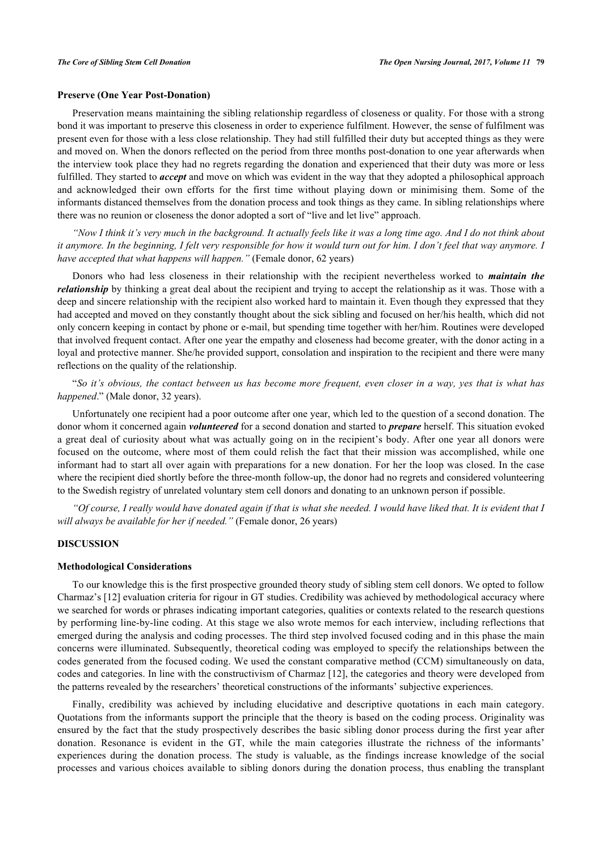#### **Preserve (One Year Post-Donation)**

Preservation means maintaining the sibling relationship regardless of closeness or quality. For those with a strong bond it was important to preserve this closeness in order to experience fulfilment. However, the sense of fulfilment was present even for those with a less close relationship. They had still fulfilled their duty but accepted things as they were and moved on. When the donors reflected on the period from three months post-donation to one year afterwards when the interview took place they had no regrets regarding the donation and experienced that their duty was more or less fulfilled. They started to *accept* and move on which was evident in the way that they adopted a philosophical approach and acknowledged their own efforts for the first time without playing down or minimising them. Some of the informants distanced themselves from the donation process and took things as they came. In sibling relationships where there was no reunion or closeness the donor adopted a sort of "live and let live" approach.

*"Now I think it's very much in the background. It actually feels like it was a long time ago. And I do not think about it anymore. In the beginning, I felt very responsible for how it would turn out for him. I don't feel that way anymore. I have accepted that what happens will happen."* (Female donor, 62 years)

Donors who had less closeness in their relationship with the recipient nevertheless worked to *maintain the relationship* by thinking a great deal about the recipient and trying to accept the relationship as it was. Those with a deep and sincere relationship with the recipient also worked hard to maintain it. Even though they expressed that they had accepted and moved on they constantly thought about the sick sibling and focused on her/his health, which did not only concern keeping in contact by phone or e-mail, but spending time together with her/him. Routines were developed that involved frequent contact. After one year the empathy and closeness had become greater, with the donor acting in a loyal and protective manner. She/he provided support, consolation and inspiration to the recipient and there were many reflections on the quality of the relationship.

"*So it's obvious, the contact between us has become more frequent, even closer in a way, yes that is what has happened*." (Male donor, 32 years).

Unfortunately one recipient had a poor outcome after one year, which led to the question of a second donation. The donor whom it concerned again *volunteered* for a second donation and started to *prepare* herself. This situation evoked a great deal of curiosity about what was actually going on in the recipient's body. After one year all donors were focused on the outcome, where most of them could relish the fact that their mission was accomplished, while one informant had to start all over again with preparations for a new donation. For her the loop was closed. In the case where the recipient died shortly before the three-month follow-up, the donor had no regrets and considered volunteering to the Swedish registry of unrelated voluntary stem cell donors and donating to an unknown person if possible.

*"Of course, I really would have donated again if that is what she needed. I would have liked that. It is evident that I will always be available for her if needed."* (Female donor, 26 years)

### **DISCUSSION**

#### **Methodological Considerations**

To our knowledge this is the first prospective grounded theory study of sibling stem cell donors. We opted to follow Charmaz's [[12\]](#page-9-9) evaluation criteria for rigour in GT studies. Credibility was achieved by methodological accuracy where we searched for words or phrases indicating important categories, qualities or contexts related to the research questions by performing line-by-line coding. At this stage we also wrote memos for each interview, including reflections that emerged during the analysis and coding processes. The third step involved focused coding and in this phase the main concerns were illuminated. Subsequently, theoretical coding was employed to specify the relationships between the codes generated from the focused coding. We used the constant comparative method (CCM) simultaneously on data, codes and categories. In line with the constructivism of Charmaz [[12](#page-9-9)], the categories and theory were developed from the patterns revealed by the researchers' theoretical constructions of the informants' subjective experiences.

Finally, credibility was achieved by including elucidative and descriptive quotations in each main category. Quotations from the informants support the principle that the theory is based on the coding process. Originality was ensured by the fact that the study prospectively describes the basic sibling donor process during the first year after donation. Resonance is evident in the GT, while the main categories illustrate the richness of the informants' experiences during the donation process. The study is valuable, as the findings increase knowledge of the social processes and various choices available to sibling donors during the donation process, thus enabling the transplant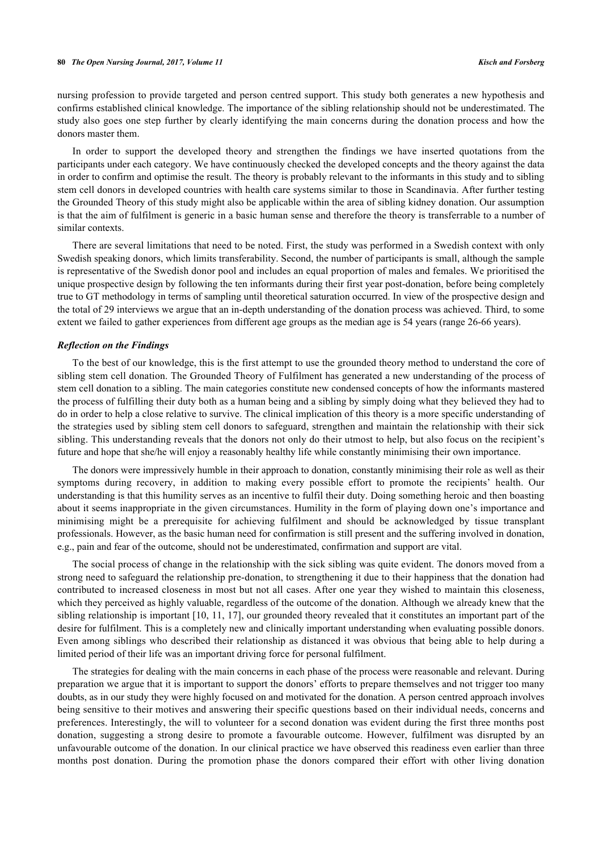nursing profession to provide targeted and person centred support. This study both generates a new hypothesis and confirms established clinical knowledge. The importance of the sibling relationship should not be underestimated. The study also goes one step further by clearly identifying the main concerns during the donation process and how the donors master them.

In order to support the developed theory and strengthen the findings we have inserted quotations from the participants under each category. We have continuously checked the developed concepts and the theory against the data in order to confirm and optimise the result. The theory is probably relevant to the informants in this study and to sibling stem cell donors in developed countries with health care systems similar to those in Scandinavia. After further testing the Grounded Theory of this study might also be applicable within the area of sibling kidney donation. Our assumption is that the aim of fulfilment is generic in a basic human sense and therefore the theory is transferrable to a number of similar contexts.

There are several limitations that need to be noted. First, the study was performed in a Swedish context with only Swedish speaking donors, which limits transferability. Second, the number of participants is small, although the sample is representative of the Swedish donor pool and includes an equal proportion of males and females. We prioritised the unique prospective design by following the ten informants during their first year post-donation, before being completely true to GT methodology in terms of sampling until theoretical saturation occurred. In view of the prospective design and the total of 29 interviews we argue that an in-depth understanding of the donation process was achieved. Third, to some extent we failed to gather experiences from different age groups as the median age is 54 years (range 26-66 years).

#### *Reflection on the Findings*

To the best of our knowledge, this is the first attempt to use the grounded theory method to understand the core of sibling stem cell donation. The Grounded Theory of Fulfilment has generated a new understanding of the process of stem cell donation to a sibling. The main categories constitute new condensed concepts of how the informants mastered the process of fulfilling their duty both as a human being and a sibling by simply doing what they believed they had to do in order to help a close relative to survive. The clinical implication of this theory is a more specific understanding of the strategies used by sibling stem cell donors to safeguard, strengthen and maintain the relationship with their sick sibling. This understanding reveals that the donors not only do their utmost to help, but also focus on the recipient's future and hope that she/he will enjoy a reasonably healthy life while constantly minimising their own importance.

The donors were impressively humble in their approach to donation, constantly minimising their role as well as their symptoms during recovery, in addition to making every possible effort to promote the recipients' health. Our understanding is that this humility serves as an incentive to fulfil their duty. Doing something heroic and then boasting about it seems inappropriate in the given circumstances. Humility in the form of playing down one's importance and minimising might be a prerequisite for achieving fulfilment and should be acknowledged by tissue transplant professionals. However, as the basic human need for confirmation is still present and the suffering involved in donation, e.g., pain and fear of the outcome, should not be underestimated, confirmation and support are vital.

The social process of change in the relationship with the sick sibling was quite evident. The donors moved from a strong need to safeguard the relationship pre-donation, to strengthening it due to their happiness that the donation had contributed to increased closeness in most but not all cases. After one year they wished to maintain this closeness, which they perceived as highly valuable, regardless of the outcome of the donation. Although we already knew that the sibling relationship is important [[10](#page-9-7), [11,](#page-9-8) [17](#page-9-14)], our grounded theory revealed that it constitutes an important part of the desire for fulfilment. This is a completely new and clinically important understanding when evaluating possible donors. Even among siblings who described their relationship as distanced it was obvious that being able to help during a limited period of their life was an important driving force for personal fulfilment.

The strategies for dealing with the main concerns in each phase of the process were reasonable and relevant. During preparation we argue that it is important to support the donors' efforts to prepare themselves and not trigger too many doubts, as in our study they were highly focused on and motivated for the donation. A person centred approach involves being sensitive to their motives and answering their specific questions based on their individual needs, concerns and preferences. Interestingly, the will to volunteer for a second donation was evident during the first three months post donation, suggesting a strong desire to promote a favourable outcome. However, fulfilment was disrupted by an unfavourable outcome of the donation. In our clinical practice we have observed this readiness even earlier than three months post donation. During the promotion phase the donors compared their effort with other living donation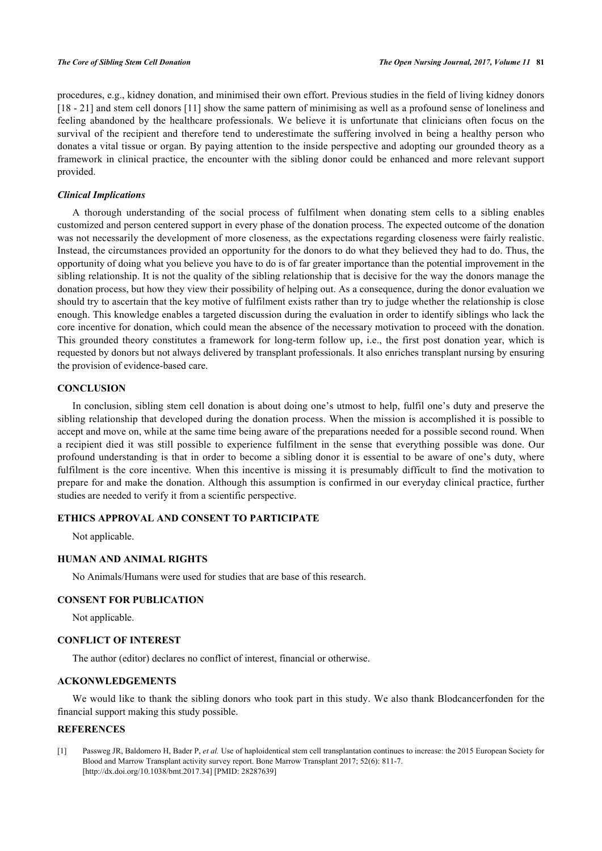procedures, e.g., kidney donation, and minimised their own effort. Previous studies in the field of living kidney donors [\[18](#page-9-15) - [21](#page-9-16)] and stem cell donors [\[11\]](#page-9-8) show the same pattern of minimising as well as a profound sense of loneliness and feeling abandoned by the healthcare professionals. We believe it is unfortunate that clinicians often focus on the survival of the recipient and therefore tend to underestimate the suffering involved in being a healthy person who donates a vital tissue or organ. By paying attention to the inside perspective and adopting our grounded theory as a framework in clinical practice, the encounter with the sibling donor could be enhanced and more relevant support provided.

#### *Clinical Implications*

A thorough understanding of the social process of fulfilment when donating stem cells to a sibling enables customized and person centered support in every phase of the donation process. The expected outcome of the donation was not necessarily the development of more closeness, as the expectations regarding closeness were fairly realistic. Instead, the circumstances provided an opportunity for the donors to do what they believed they had to do. Thus, the opportunity of doing what you believe you have to do is of far greater importance than the potential improvement in the sibling relationship. It is not the quality of the sibling relationship that is decisive for the way the donors manage the donation process, but how they view their possibility of helping out. As a consequence, during the donor evaluation we should try to ascertain that the key motive of fulfilment exists rather than try to judge whether the relationship is close enough. This knowledge enables a targeted discussion during the evaluation in order to identify siblings who lack the core incentive for donation, which could mean the absence of the necessary motivation to proceed with the donation. This grounded theory constitutes a framework for long-term follow up, i.e., the first post donation year, which is requested by donors but not always delivered by transplant professionals. It also enriches transplant nursing by ensuring the provision of evidence-based care.

#### **CONCLUSION**

In conclusion, sibling stem cell donation is about doing one's utmost to help, fulfil one's duty and preserve the sibling relationship that developed during the donation process. When the mission is accomplished it is possible to accept and move on, while at the same time being aware of the preparations needed for a possible second round. When a recipient died it was still possible to experience fulfilment in the sense that everything possible was done. Our profound understanding is that in order to become a sibling donor it is essential to be aware of one's duty, where fulfilment is the core incentive. When this incentive is missing it is presumably difficult to find the motivation to prepare for and make the donation. Although this assumption is confirmed in our everyday clinical practice, further studies are needed to verify it from a scientific perspective.

### **ETHICS APPROVAL AND CONSENT TO PARTICIPATE**

Not applicable.

## **HUMAN AND ANIMAL RIGHTS**

No Animals/Humans were used for studies that are base of this research.

# **CONSENT FOR PUBLICATION**

Not applicable.

#### **CONFLICT OF INTEREST**

The author (editor) declares no conflict of interest, financial or otherwise.

# **ACKONWLEDGEMENTS**

We would like to thank the sibling donors who took part in this study. We also thank Blodcancerfonden for the financial support making this study possible.

# **REFERENCES**

<span id="page-8-0"></span>[1] Passweg JR, Baldomero H, Bader P, *et al.* Use of haploidentical stem cell transplantation continues to increase: the 2015 European Society for Blood and Marrow Transplant activity survey report. Bone Marrow Transplant 2017; 52(6): 811-7. [\[http://dx.doi.org/10.1038/bmt.2017.34](http://dx.doi.org/10.1038/bmt.2017.34)] [PMID: [28287639\]](http://www.ncbi.nlm.nih.gov/pubmed/28287639)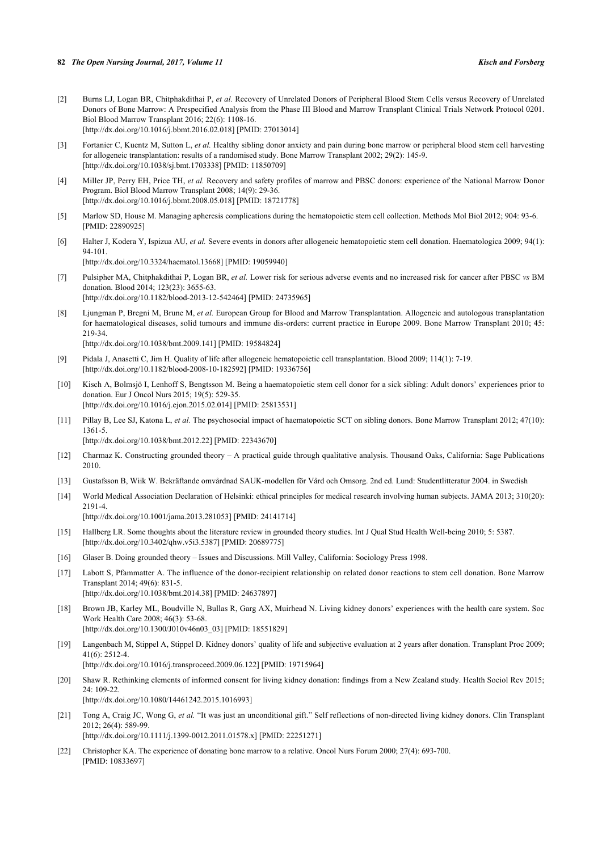- <span id="page-9-0"></span>[2] Burns LJ, Logan BR, Chitphakdithai P, *et al.* Recovery of Unrelated Donors of Peripheral Blood Stem Cells versus Recovery of Unrelated Donors of Bone Marrow: A Prespecified Analysis from the Phase III Blood and Marrow Transplant Clinical Trials Network Protocol 0201. Biol Blood Marrow Transplant 2016; 22(6): 1108-16. [\[http://dx.doi.org/10.1016/j.bbmt.2016.02.018](http://dx.doi.org/10.1016/j.bbmt.2016.02.018)] [PMID: [27013014](http://www.ncbi.nlm.nih.gov/pubmed/27013014)]
- [3] Fortanier C, Kuentz M, Sutton L, et al. Healthy sibling donor anxiety and pain during bone marrow or peripheral blood stem cell harvesting for allogeneic transplantation: results of a randomised study. Bone Marrow Transplant 2002; 29(2): 145-9. [\[http://dx.doi.org/10.1038/sj.bmt.1703338\]](http://dx.doi.org/10.1038/sj.bmt.1703338) [PMID: [11850709](http://www.ncbi.nlm.nih.gov/pubmed/11850709)]
- <span id="page-9-1"></span>[4] Miller JP, Perry EH, Price TH, *et al.* Recovery and safety profiles of marrow and PBSC donors: experience of the National Marrow Donor Program. Biol Blood Marrow Transplant 2008; 14(9): 29-36. [\[http://dx.doi.org/10.1016/j.bbmt.2008.05.018](http://dx.doi.org/10.1016/j.bbmt.2008.05.018)] [PMID: [18721778](http://www.ncbi.nlm.nih.gov/pubmed/18721778)]
- <span id="page-9-2"></span>[5] Marlow SD, House M. Managing apheresis complications during the hematopoietic stem cell collection. Methods Mol Biol 2012; 904: 93-6. [PMID: [22890925\]](http://www.ncbi.nlm.nih.gov/pubmed/22890925)
- <span id="page-9-3"></span>[6] Halter J, Kodera Y, Ispizua AU, *et al.* Severe events in donors after allogeneic hematopoietic stem cell donation. Haematologica 2009; 94(1): 94-101. [\[http://dx.doi.org/10.3324/haematol.13668](http://dx.doi.org/10.3324/haematol.13668)] [PMID: [19059940\]](http://www.ncbi.nlm.nih.gov/pubmed/19059940)
- <span id="page-9-4"></span>[7] Pulsipher MA, Chitphakdithai P, Logan BR, *et al.* Lower risk for serious adverse events and no increased risk for cancer after PBSC *vs* BM donation. Blood 2014; 123(23): 3655-63. [\[http://dx.doi.org/10.1182/blood-2013-12-542464](http://dx.doi.org/10.1182/blood-2013-12-542464)] [PMID: [24735965\]](http://www.ncbi.nlm.nih.gov/pubmed/24735965)
- <span id="page-9-5"></span>[8] Ljungman P, Bregni M, Brune M, *et al.* European Group for Blood and Marrow Transplantation. Allogeneic and autologous transplantation for haematological diseases, solid tumours and immune dis-orders: current practice in Europe 2009. Bone Marrow Transplant 2010; 45: 219-34. [\[http://dx.doi.org/10.1038/bmt.2009.141](http://dx.doi.org/10.1038/bmt.2009.141)] [PMID: [19584824\]](http://www.ncbi.nlm.nih.gov/pubmed/19584824)
- <span id="page-9-6"></span>[9] Pidala J, Anasetti C, Jim H. Quality of life after allogeneic hematopoietic cell transplantation. Blood 2009; 114(1): 7-19. [\[http://dx.doi.org/10.1182/blood-2008-10-182592](http://dx.doi.org/10.1182/blood-2008-10-182592)] [PMID: [19336756\]](http://www.ncbi.nlm.nih.gov/pubmed/19336756)
- <span id="page-9-7"></span>[10] Kisch A, Bolmsjö I, Lenhoff S, Bengtsson M. Being a haematopoietic stem cell donor for a sick sibling: Adult donors' experiences prior to donation. Eur J Oncol Nurs 2015; 19(5): 529-35. [\[http://dx.doi.org/10.1016/j.ejon.2015.02.014\]](http://dx.doi.org/10.1016/j.ejon.2015.02.014) [PMID: [25813531](http://www.ncbi.nlm.nih.gov/pubmed/25813531)]
- <span id="page-9-8"></span>[11] Pillay B, Lee SJ, Katona L, *et al.* The psychosocial impact of haematopoietic SCT on sibling donors. Bone Marrow Transplant 2012; 47(10): 1361-5. [\[http://dx.doi.org/10.1038/bmt.2012.22](http://dx.doi.org/10.1038/bmt.2012.22)] [PMID: [22343670\]](http://www.ncbi.nlm.nih.gov/pubmed/22343670)
- <span id="page-9-9"></span>[12] Charmaz K. Constructing grounded theory – A practical guide through qualitative analysis. Thousand Oaks, California: Sage Publications 2010.
- <span id="page-9-10"></span>[13] Gustafsson B, Wiik W. Bekräftande omvårdnad SAUK-modellen för Vård och Omsorg. 2nd ed. Lund: Studentlitteratur 2004. in Swedish
- <span id="page-9-11"></span>[14] World Medical Association Declaration of Helsinki: ethical principles for medical research involving human subjects. JAMA 2013; 310(20): 2191-4.

[\[http://dx.doi.org/10.1001/jama.2013.281053](http://dx.doi.org/10.1001/jama.2013.281053)] [PMID: [24141714\]](http://www.ncbi.nlm.nih.gov/pubmed/24141714)

- <span id="page-9-12"></span>[15] Hallberg LR. Some thoughts about the literature review in grounded theory studies. Int J Qual Stud Health Well-being 2010; 5: 5387. [\[http://dx.doi.org/10.3402/qhw.v5i3.5387\]](http://dx.doi.org/10.3402/qhw.v5i3.5387) [PMID: [20689775](http://www.ncbi.nlm.nih.gov/pubmed/20689775)]
- <span id="page-9-13"></span>[16] Glaser B. Doing grounded theory – Issues and Discussions. Mill Valley, California: Sociology Press 1998.
- <span id="page-9-14"></span>[17] Labott S, Pfammatter A. The influence of the donor-recipient relationship on related donor reactions to stem cell donation. Bone Marrow Transplant 2014; 49(6): 831-5. [\[http://dx.doi.org/10.1038/bmt.2014.38](http://dx.doi.org/10.1038/bmt.2014.38)] [PMID: [24637897\]](http://www.ncbi.nlm.nih.gov/pubmed/24637897)
- <span id="page-9-15"></span>[18] Brown JB, Karley ML, Boudville N, Bullas R, Garg AX, Muirhead N. Living kidney donors' experiences with the health care system. Soc Work Health Care 2008; 46(3): 53-68. [\[http://dx.doi.org/10.1300/J010v46n03\\_03\]](http://dx.doi.org/10.1300/J010v46n03_03) [PMID: [18551829](http://www.ncbi.nlm.nih.gov/pubmed/18551829)]
- [19] Langenbach M, Stippel A, Stippel D. Kidney donors' quality of life and subjective evaluation at 2 years after donation. Transplant Proc 2009; 41(6): 2512-4. [\[http://dx.doi.org/10.1016/j.transproceed.2009.06.122\]](http://dx.doi.org/10.1016/j.transproceed.2009.06.122) [PMID: [19715964](http://www.ncbi.nlm.nih.gov/pubmed/19715964)]
- [20] Shaw R. Rethinking elements of informed consent for living kidney donation: findings from a New Zealand study. Health Sociol Rev 2015; 24: 109-22. [\[http://dx.doi.org/10.1080/14461242.2015.1016993\]](http://dx.doi.org/10.1080/14461242.2015.1016993)
- <span id="page-9-16"></span>[21] Tong A, Craig JC, Wong G, *et al.* "It was just an unconditional gift." Self reflections of non-directed living kidney donors. Clin Transplant 2012; 26(4): 589-99. [\[http://dx.doi.org/10.1111/j.1399-0012.2011.01578.x\]](http://dx.doi.org/10.1111/j.1399-0012.2011.01578.x) [PMID: [22251271](http://www.ncbi.nlm.nih.gov/pubmed/22251271)]
- [22] Christopher KA. The experience of donating bone marrow to a relative. Oncol Nurs Forum 2000; 27(4): 693-700. [PMID: [10833697\]](http://www.ncbi.nlm.nih.gov/pubmed/10833697)